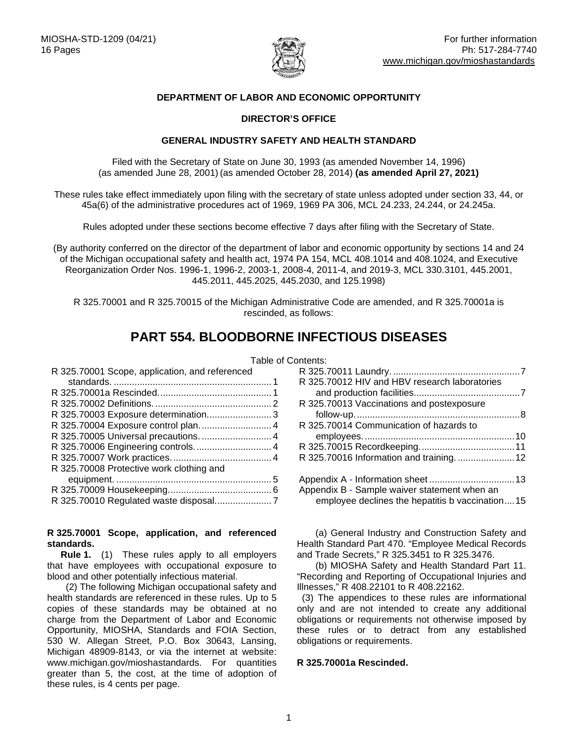

## **DEPARTMENT OF LABOR AND ECONOMIC OPPORTUNITY**

## **DIRECTOR'S OFFICE**

#### **GENERAL INDUSTRY SAFETY AND HEALTH STANDARD**

Filed with the Secretary of State on June 30, 1993 (as amended November 14, 1996) (as amended June 28, 2001) (as amended October 28, 2014) **(as amended April 27, 2021)** 

These rules take effect immediately upon filing with the secretary of state unless adopted under section 33, 44, or 45a(6) of the administrative procedures act of 1969, 1969 PA 306, MCL 24.233, 24.244, or 24.245a.

Rules adopted under these sections become effective 7 days after filing with the Secretary of State.

(By authority conferred on the director of the department of labor and economic opportunity by sections 14 and 24 of the Michigan occupational safety and health act, 1974 PA 154, MCL 408.1014 and 408.1024, and Executive Reorganization Order Nos. 1996-1, 1996-2, 2003-1, 2008-4, 2011-4, and 2019-3, MCL 330.3101, 445.2001, 445.2011, 445.2025, 445.2030, and 125.1998)

R 325.70001 and R 325.70015 of the Michigan Administrative Code are amended, and R 325.70001a is rescinded, as follows:

# **PART 554. BLOODBORNE INFECTIOUS DISEASES**

| R 325.70001 Scope, application, and referenced |  |
|------------------------------------------------|--|
|                                                |  |
|                                                |  |
|                                                |  |
| R 325.70003 Exposure determination 3           |  |
|                                                |  |

| $\sim$ 020.1 000 1 2.1 pound control plumminimimimimimimi |  |
|-----------------------------------------------------------|--|
| R 325.70005 Universal precautions.  4                     |  |
|                                                           |  |
|                                                           |  |
| R 325.70008 Protective work clothing and                  |  |
|                                                           |  |
|                                                           |  |
|                                                           |  |
|                                                           |  |

#### <span id="page-0-0"></span>**R 325.70001 Scope, application, and referenced standards.**

**Rule 1.** (1) These rules apply to all employers that have employees with occupational exposure to blood and other potentially infectious material.

 (2) The following Michigan occupational safety and health standards are referenced in these rules. Up to 5 copies of these standards may be obtained at no charge from the Department of Labor and Economic Opportunity, MIOSHA, Standards and FOIA Section, 530 W. Allegan Street, P.O. Box 30643, Lansing, Michigan 48909-8143, or via the internet at website: www.michigan.gov/mioshastandards. For quantities greater than 5, the cost, at the time of adoption of these rules, is 4 cents per page.

| Table of Contents: |                                                 |  |
|--------------------|-------------------------------------------------|--|
| d 1                |                                                 |  |
| . 1                | R 325.70012 HIV and HBV research laboratories   |  |
| . 1                |                                                 |  |
| . 2                | R 325.70013 Vaccinations and postexposure       |  |
| . 3                |                                                 |  |
| . 4                | R 325.70014 Communication of hazards to         |  |
| . 4                |                                                 |  |
| . 4                |                                                 |  |
| . 4                | R 325.70016 Information and training.  12       |  |
| . 5                |                                                 |  |
| . 6                | Appendix B - Sample waiver statement when an    |  |
| . 7                | employee declines the hepatitis b vaccination15 |  |
|                    |                                                 |  |

 (a) General Industry and Construction Safety and Health Standard Part 470. "Employee Medical Records and Trade Secrets," R 325.3451 to R 325.3476.

 (b) MIOSHA Safety and Health Standard Part 11. "Recording and Reporting of Occupational Injuries and Illnesses," R 408.22101 to R 408.22162.

 (3) The appendices to these rules are informational only and are not intended to create any additional obligations or requirements not otherwise imposed by these rules or to detract from any established obligations or requirements.

#### <span id="page-0-1"></span>**R 325.70001a Rescinded.**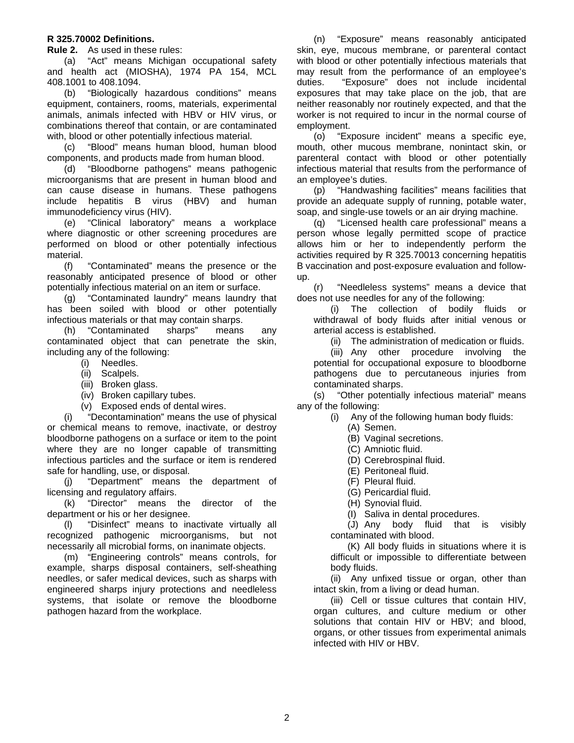#### <span id="page-1-0"></span>**R 325.70002 Definitions.**

**Rule 2.** As used in these rules:

(a) "Act" means Michigan occupational safety and health act (MIOSHA), 1974 PA 154, MCL 408.1001 to 408.1094.

(b) "Biologically hazardous conditions" means equipment, containers, rooms, materials, experimental animals, animals infected with HBV or HIV virus, or combinations thereof that contain, or are contaminated with, blood or other potentially infectious material.

(c) "Blood" means human blood, human blood components, and products made from human blood.

(d) "Bloodborne pathogens" means pathogenic microorganisms that are present in human blood and can cause disease in humans. These pathogens include hepatitis B virus (HBV) and human immunodeficiency virus (HIV).

(e) "Clinical laboratory" means a workplace where diagnostic or other screening procedures are performed on blood or other potentially infectious material.

(f) "Contaminated" means the presence or the reasonably anticipated presence of blood or other potentially infectious material on an item or surface.

(g) "Contaminated laundry" means laundry that has been soiled with blood or other potentially infectious materials or that may contain sharps.

(h) "Contaminated sharps" means any contaminated object that can penetrate the skin, including any of the following:

- (i) Needles.
- (ii) Scalpels.
- (iii) Broken glass.
- (iv) Broken capillary tubes.
- (v) Exposed ends of dental wires.

(i) "Decontamination" means the use of physical or chemical means to remove, inactivate, or destroy bloodborne pathogens on a surface or item to the point where they are no longer capable of transmitting infectious particles and the surface or item is rendered safe for handling, use, or disposal.

(j) "Department" means the department of licensing and regulatory affairs.

(k) "Director" means the director of the department or his or her designee.

(l) "Disinfect" means to inactivate virtually all recognized pathogenic microorganisms, but not necessarily all microbial forms, on inanimate objects.

(m) "Engineering controls" means controls, for example, sharps disposal containers, self-sheathing needles, or safer medical devices, such as sharps with engineered sharps injury protections and needleless systems, that isolate or remove the bloodborne pathogen hazard from the workplace.

(n) "Exposure" means reasonably anticipated skin, eye, mucous membrane, or parenteral contact with blood or other potentially infectious materials that may result from the performance of an employee's duties. "Exposure" does not include incidental exposures that may take place on the job, that are neither reasonably nor routinely expected, and that the worker is not required to incur in the normal course of employment.

(o) "Exposure incident" means a specific eye, mouth, other mucous membrane, nonintact skin, or parenteral contact with blood or other potentially infectious material that results from the performance of an employee's duties.

(p) "Handwashing facilities" means facilities that provide an adequate supply of running, potable water, soap, and single-use towels or an air drying machine.

(q) "Licensed health care professional" means a person whose legally permitted scope of practice allows him or her to independently perform the activities required by R 325.70013 concerning hepatitis B vaccination and post-exposure evaluation and followup.

(r) "Needleless systems" means a device that does not use needles for any of the following:

(i) The collection of bodily fluids or withdrawal of body fluids after initial venous or arterial access is established.

(ii) The administration of medication or fluids.

(iii) Any other procedure involving the potential for occupational exposure to bloodborne pathogens due to percutaneous injuries from contaminated sharps.

(s) "Other potentially infectious material" means any of the following:

- (i) Any of the following human body fluids:
- (A) Semen.
	- (B) Vaginal secretions.
	- (C) Amniotic fluid.
	- (D) Cerebrospinal fluid.
	- (E) Peritoneal fluid.
	- (F) Pleural fluid.
	- (G) Pericardial fluid.
	- (H) Synovial fluid.
	- (I) Saliva in dental procedures.

(J) Any body fluid that is visibly contaminated with blood.

(K) All body fluids in situations where it is difficult or impossible to differentiate between body fluids.

(ii) Any unfixed tissue or organ, other than intact skin, from a living or dead human.

(iii) Cell or tissue cultures that contain HIV, organ cultures, and culture medium or other solutions that contain HIV or HBV; and blood, organs, or other tissues from experimental animals infected with HIV or HBV.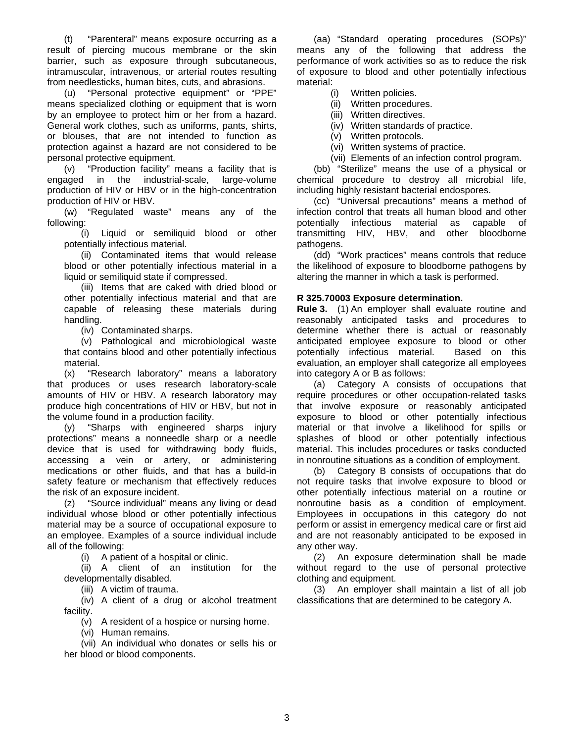(t) "Parenteral" means exposure occurring as a result of piercing mucous membrane or the skin barrier, such as exposure through subcutaneous, intramuscular, intravenous, or arterial routes resulting from needlesticks, human bites, cuts, and abrasions.

(u) "Personal protective equipment" or "PPE" means specialized clothing or equipment that is worn by an employee to protect him or her from a hazard. General work clothes, such as uniforms, pants, shirts, or blouses, that are not intended to function as protection against a hazard are not considered to be personal protective equipment.

(v) "Production facility" means a facility that is engaged in the industrial-scale, large-volume production of HIV or HBV or in the high-concentration production of HIV or HBV.

(w) "Regulated waste" means any of the following:

(i) Liquid or semiliquid blood or other potentially infectious material.

(ii) Contaminated items that would release blood or other potentially infectious material in a liquid or semiliquid state if compressed.

(iii) Items that are caked with dried blood or other potentially infectious material and that are capable of releasing these materials during handling.

(iv) Contaminated sharps.

(v) Pathological and microbiological waste that contains blood and other potentially infectious material.

(x) "Research laboratory" means a laboratory that produces or uses research laboratory-scale amounts of HIV or HBV. A research laboratory may produce high concentrations of HIV or HBV, but not in the volume found in a production facility.

(y) "Sharps with engineered sharps injury protections" means a nonneedle sharp or a needle device that is used for withdrawing body fluids, accessing a vein or artery, or administering medications or other fluids, and that has a build-in safety feature or mechanism that effectively reduces the risk of an exposure incident.

(z) "Source individual" means any living or dead individual whose blood or other potentially infectious material may be a source of occupational exposure to an employee. Examples of a source individual include all of the following:

(i) A patient of a hospital or clinic.

(ii) A client of an institution for the developmentally disabled.

(iii) A victim of trauma.

(iv) A client of a drug or alcohol treatment facility.

(v) A resident of a hospice or nursing home.

(vi) Human remains.

(vii) An individual who donates or sells his or her blood or blood components.

(aa) "Standard operating procedures (SOPs)" means any of the following that address the performance of work activities so as to reduce the risk of exposure to blood and other potentially infectious material:

(i) Written policies.

(ii) Written procedures.

- (iii) Written directives.
- (iv) Written standards of practice.
- (v) Written protocols.
- (vi) Written systems of practice.
- (vii) Elements of an infection control program.

(bb) "Sterilize" means the use of a physical or chemical procedure to destroy all microbial life, including highly resistant bacterial endospores.

(cc) "Universal precautions" means a method of infection control that treats all human blood and other potentially infectious material as capable of transmitting HIV, HBV, and other bloodborne pathogens.

(dd) "Work practices" means controls that reduce the likelihood of exposure to bloodborne pathogens by altering the manner in which a task is performed.

## <span id="page-2-0"></span>**R 325.70003 Exposure determination.**

**Rule 3.** (1) An employer shall evaluate routine and reasonably anticipated tasks and procedures to determine whether there is actual or reasonably anticipated employee exposure to blood or other potentially infectious material. Based on this evaluation, an employer shall categorize all employees into category A or B as follows:

(a) Category A consists of occupations that require procedures or other occupation-related tasks that involve exposure or reasonably anticipated exposure to blood or other potentially infectious material or that involve a likelihood for spills or splashes of blood or other potentially infectious material. This includes procedures or tasks conducted in nonroutine situations as a condition of employment.

(b) Category B consists of occupations that do not require tasks that involve exposure to blood or other potentially infectious material on a routine or nonroutine basis as a condition of employment. Employees in occupations in this category do not perform or assist in emergency medical care or first aid and are not reasonably anticipated to be exposed in any other way.

(2) An exposure determination shall be made without regard to the use of personal protective clothing and equipment.

<span id="page-2-1"></span>(3) An employer shall maintain a list of all job classifications that are determined to be category A.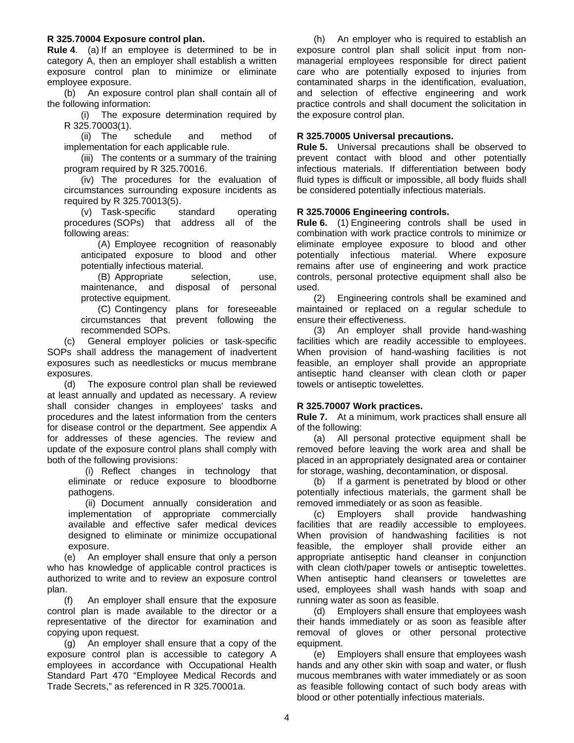#### **R 325.70004 Exposure control plan.**

**Rule 4**. (a) If an employee is determined to be in category A, then an employer shall establish a written exposure control plan to minimize or eliminate employee exposure.

(b) An exposure control plan shall contain all of the following information:

(i) The exposure determination required by R 325.70003(1).

(ii) The schedule and method of implementation for each applicable rule.

(iii) The contents or a summary of the training program required by R 325.70016.

(iv) The procedures for the evaluation of circumstances surrounding exposure incidents as required by R 325.70013(5).

(v) Task-specific standard operating procedures (SOPs) that address all of the following areas:

(A) Employee recognition of reasonably anticipated exposure to blood and other potentially infectious material.

(B) Appropriate selection, use, maintenance, and disposal of personal protective equipment.

(C) Contingency plans for foreseeable circumstances that prevent following the recommended SOPs.

(c) General employer policies or task-specific SOPs shall address the management of inadvertent exposures such as needlesticks or mucus membrane exposures.

(d) The exposure control plan shall be reviewed at least annually and updated as necessary. A review shall consider changes in employees' tasks and procedures and the latest information from the centers for disease control or the department. See appendix A for addresses of these agencies. The review and update of the exposure control plans shall comply with both of the following provisions:

(i) Reflect changes in technology that eliminate or reduce exposure to bloodborne pathogens.

(ii) Document annually consideration and implementation of appropriate commercially available and effective safer medical devices designed to eliminate or minimize occupational exposure.

(e) An employer shall ensure that only a person who has knowledge of applicable control practices is authorized to write and to review an exposure control plan.

(f) An employer shall ensure that the exposure control plan is made available to the director or a representative of the director for examination and copying upon request.

(g) An employer shall ensure that a copy of the exposure control plan is accessible to category A employees in accordance with Occupational Health Standard Part 470 "Employee Medical Records and Trade Secrets," as referenced in R 325.70001a.

(h) An employer who is required to establish an exposure control plan shall solicit input from nonmanagerial employees responsible for direct patient care who are potentially exposed to injuries from contaminated sharps in the identification, evaluation, and selection of effective engineering and work practice controls and shall document the solicitation in the exposure control plan.

#### <span id="page-3-0"></span>**R 325.70005 Universal precautions.**

**Rule 5.** Universal precautions shall be observed to prevent contact with blood and other potentially infectious materials. If differentiation between body fluid types is difficult or impossible, all body fluids shall be considered potentially infectious materials.

## <span id="page-3-1"></span>**R 325.70006 Engineering controls.**

**Rule 6.** (1) Engineering controls shall be used in combination with work practice controls to minimize or eliminate employee exposure to blood and other potentially infectious material. Where exposure remains after use of engineering and work practice controls, personal protective equipment shall also be used.

(2) Engineering controls shall be examined and maintained or replaced on a regular schedule to ensure their effectiveness.

(3) An employer shall provide hand-washing facilities which are readily accessible to employees. When provision of hand-washing facilities is not feasible, an employer shall provide an appropriate antiseptic hand cleanser with clean cloth or paper towels or antiseptic towelettes.

#### <span id="page-3-2"></span>**R 325.70007 Work practices.**

**Rule 7.** At a minimum, work practices shall ensure all of the following:

(a) All personal protective equipment shall be removed before leaving the work area and shall be placed in an appropriately designated area or container for storage, washing, decontamination, or disposal.

(b) If a garment is penetrated by blood or other potentially infectious materials, the garment shall be removed immediately or as soon as feasible.

(c) Employers shall provide handwashing facilities that are readily accessible to employees. When provision of handwashing facilities is not feasible, the employer shall provide either an appropriate antiseptic hand cleanser in conjunction with clean cloth/paper towels or antiseptic towelettes. When antiseptic hand cleansers or towelettes are used, employees shall wash hands with soap and running water as soon as feasible.

(d) Employers shall ensure that employees wash their hands immediately or as soon as feasible after removal of gloves or other personal protective equipment.

(e) Employers shall ensure that employees wash hands and any other skin with soap and water, or flush mucous membranes with water immediately or as soon as feasible following contact of such body areas with blood or other potentially infectious materials.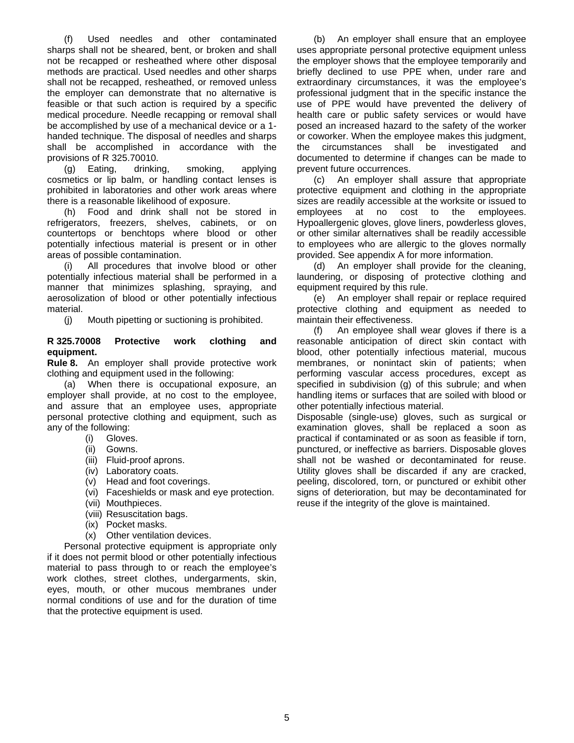(f) Used needles and other contaminated sharps shall not be sheared, bent, or broken and shall not be recapped or resheathed where other disposal methods are practical. Used needles and other sharps shall not be recapped, resheathed, or removed unless the employer can demonstrate that no alternative is feasible or that such action is required by a specific medical procedure. Needle recapping or removal shall be accomplished by use of a mechanical device or a 1 handed technique. The disposal of needles and sharps shall be accomplished in accordance with the provisions of R 325.70010.

(g) Eating, drinking, smoking, applying cosmetics or lip balm, or handling contact lenses is prohibited in laboratories and other work areas where there is a reasonable likelihood of exposure.

(h) Food and drink shall not be stored in refrigerators, freezers, shelves, cabinets, or on countertops or benchtops where blood or other potentially infectious material is present or in other areas of possible contamination.

(i) All procedures that involve blood or other potentially infectious material shall be performed in a manner that minimizes splashing, spraying, and aerosolization of blood or other potentially infectious material.

(j) Mouth pipetting or suctioning is prohibited.

#### <span id="page-4-0"></span>**R 325.70008 Protective work clothing and equipment.**

**Rule 8.** An employer shall provide protective work clothing and equipment used in the following:

(a) When there is occupational exposure, an employer shall provide, at no cost to the employee, and assure that an employee uses, appropriate personal protective clothing and equipment, such as any of the following:

- (i) Gloves.
- (ii) Gowns.
- (iii) Fluid-proof aprons.
- (iv) Laboratory coats.
- (v) Head and foot coverings.
- (vi) Faceshields or mask and eye protection.
- (vii) Mouthpieces.
- (viii) Resuscitation bags.
- (ix) Pocket masks.
- (x) Other ventilation devices.

Personal protective equipment is appropriate only if it does not permit blood or other potentially infectious material to pass through to or reach the employee's work clothes, street clothes, undergarments, skin, eyes, mouth, or other mucous membranes under normal conditions of use and for the duration of time that the protective equipment is used.

(b) An employer shall ensure that an employee uses appropriate personal protective equipment unless the employer shows that the employee temporarily and briefly declined to use PPE when, under rare and extraordinary circumstances, it was the employee's professional judgment that in the specific instance the use of PPE would have prevented the delivery of health care or public safety services or would have posed an increased hazard to the safety of the worker or coworker. When the employee makes this judgment, the circumstances shall be investigated and documented to determine if changes can be made to prevent future occurrences.

(c) An employer shall assure that appropriate protective equipment and clothing in the appropriate sizes are readily accessible at the worksite or issued to employees at no cost to the employees. Hypoallergenic gloves, glove liners, powderless gloves, or other similar alternatives shall be readily accessible to employees who are allergic to the gloves normally provided. See appendix A for more information.

(d) An employer shall provide for the cleaning, laundering, or disposing of protective clothing and equipment required by this rule.

(e) An employer shall repair or replace required protective clothing and equipment as needed to maintain their effectiveness.

(f) An employee shall wear gloves if there is a reasonable anticipation of direct skin contact with blood, other potentially infectious material, mucous membranes, or nonintact skin of patients; when performing vascular access procedures, except as specified in subdivision (g) of this subrule; and when handling items or surfaces that are soiled with blood or other potentially infectious material.

Disposable (single-use) gloves, such as surgical or examination gloves, shall be replaced a soon as practical if contaminated or as soon as feasible if torn, punctured, or ineffective as barriers. Disposable gloves shall not be washed or decontaminated for reuse. Utility gloves shall be discarded if any are cracked, peeling, discolored, torn, or punctured or exhibit other signs of deterioration, but may be decontaminated for reuse if the integrity of the glove is maintained.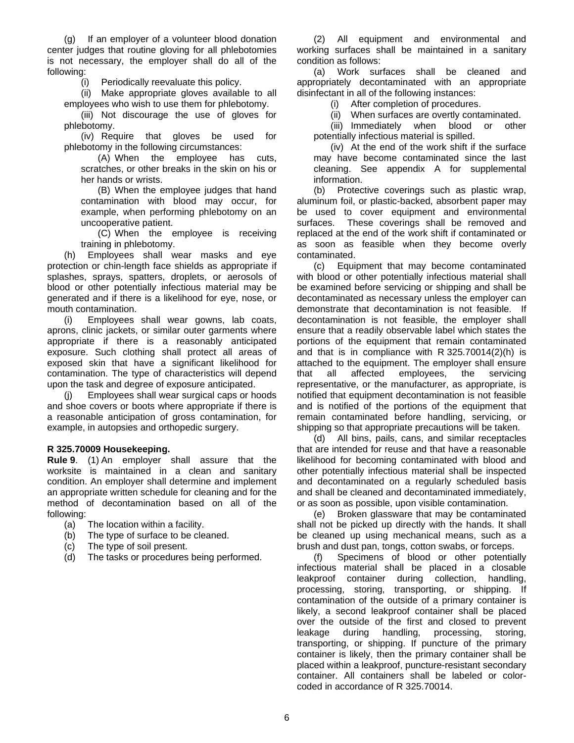(g) If an employer of a volunteer blood donation center judges that routine gloving for all phlebotomies is not necessary, the employer shall do all of the following:

(i) Periodically reevaluate this policy.

(ii) Make appropriate gloves available to all employees who wish to use them for phlebotomy.

(iii) Not discourage the use of gloves for phlebotomy.

(iv) Require that gloves be used for phlebotomy in the following circumstances:

(A) When the employee has cuts, scratches, or other breaks in the skin on his or her hands or wrists.

(B) When the employee judges that hand contamination with blood may occur, for example, when performing phlebotomy on an uncooperative patient.

(C) When the employee is receiving training in phlebotomy.

(h) Employees shall wear masks and eye protection or chin-length face shields as appropriate if splashes, sprays, spatters, droplets, or aerosols of blood or other potentially infectious material may be generated and if there is a likelihood for eye, nose, or mouth contamination.

(i) Employees shall wear gowns, lab coats, aprons, clinic jackets, or similar outer garments where appropriate if there is a reasonably anticipated exposure. Such clothing shall protect all areas of exposed skin that have a significant likelihood for contamination. The type of characteristics will depend upon the task and degree of exposure anticipated.

(j) Employees shall wear surgical caps or hoods and shoe covers or boots where appropriate if there is a reasonable anticipation of gross contamination, for example, in autopsies and orthopedic surgery.

#### <span id="page-5-0"></span>**R 325.70009 Housekeeping.**

**Rule 9**. (1) An employer shall assure that the worksite is maintained in a clean and sanitary condition. An employer shall determine and implement an appropriate written schedule for cleaning and for the method of decontamination based on all of the following:

- (a) The location within a facility.
- (b) The type of surface to be cleaned.
- (c) The type of soil present.
- (d) The tasks or procedures being performed.

(2) All equipment and environmental and working surfaces shall be maintained in a sanitary condition as follows:

(a) Work surfaces shall be cleaned and appropriately decontaminated with an appropriate disinfectant in all of the following instances:

(i) After completion of procedures.

(ii) When surfaces are overtly contaminated.

(iii) Immediately when blood or other potentially infectious material is spilled.

(iv) At the end of the work shift if the surface may have become contaminated since the last cleaning. See appendix A for supplemental information.

(b) Protective coverings such as plastic wrap, aluminum foil, or plastic-backed, absorbent paper may be used to cover equipment and environmental surfaces. These coverings shall be removed and replaced at the end of the work shift if contaminated or as soon as feasible when they become overly contaminated.

(c) Equipment that may become contaminated with blood or other potentially infectious material shall be examined before servicing or shipping and shall be decontaminated as necessary unless the employer can demonstrate that decontamination is not feasible. If decontamination is not feasible, the employer shall ensure that a readily observable label which states the portions of the equipment that remain contaminated and that is in compliance with R 325.70014(2)(h) is attached to the equipment. The employer shall ensure that all affected employees, the servicing representative, or the manufacturer, as appropriate, is notified that equipment decontamination is not feasible and is notified of the portions of the equipment that remain contaminated before handling, servicing, or shipping so that appropriate precautions will be taken.

(d) All bins, pails, cans, and similar receptacles that are intended for reuse and that have a reasonable likelihood for becoming contaminated with blood and other potentially infectious material shall be inspected and decontaminated on a regularly scheduled basis and shall be cleaned and decontaminated immediately, or as soon as possible, upon visible contamination.

(e) Broken glassware that may be contaminated shall not be picked up directly with the hands. It shall be cleaned up using mechanical means, such as a brush and dust pan, tongs, cotton swabs, or forceps.

(f) Specimens of blood or other potentially infectious material shall be placed in a closable leakproof container during collection, handling, processing, storing, transporting, or shipping. If contamination of the outside of a primary container is likely, a second leakproof container shall be placed over the outside of the first and closed to prevent leakage during handling, processing, storing, transporting, or shipping. If puncture of the primary container is likely, then the primary container shall be placed within a leakproof, puncture-resistant secondary container. All containers shall be labeled or colorcoded in accordance of R 325.70014.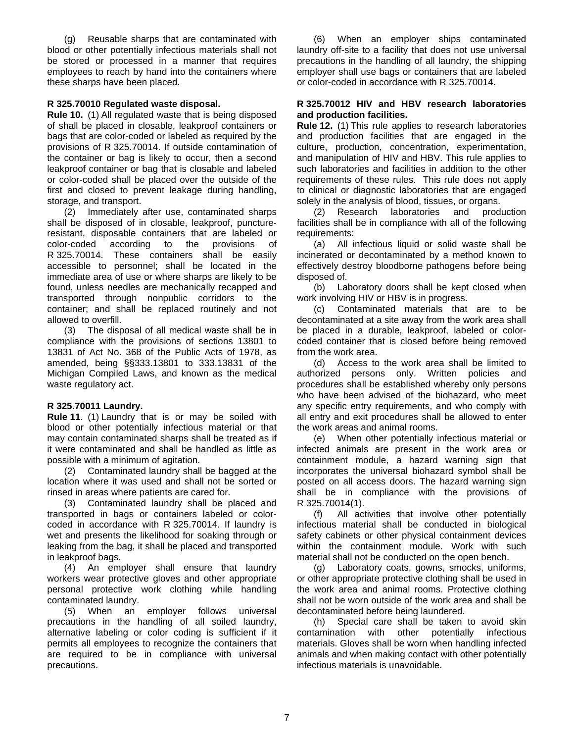(g) Reusable sharps that are contaminated with blood or other potentially infectious materials shall not be stored or processed in a manner that requires employees to reach by hand into the containers where these sharps have been placed.

## <span id="page-6-0"></span>**R 325.70010 Regulated waste disposal.**

**Rule 10.** (1) All regulated waste that is being disposed of shall be placed in closable, leakproof containers or bags that are color-coded or labeled as required by the provisions of R 325.70014. If outside contamination of the container or bag is likely to occur, then a second leakproof container or bag that is closable and labeled or color-coded shall be placed over the outside of the first and closed to prevent leakage during handling, storage, and transport.

(2) Immediately after use, contaminated sharps shall be disposed of in closable, leakproof, punctureresistant, disposable containers that are labeled or color-coded according to the provisions of R 325.70014. These containers shall be easily accessible to personnel; shall be located in the immediate area of use or where sharps are likely to be found, unless needles are mechanically recapped and transported through nonpublic corridors to the container; and shall be replaced routinely and not allowed to overfill.

(3) The disposal of all medical waste shall be in compliance with the provisions of sections 13801 to 13831 of Act No. 368 of the Public Acts of 1978, as amended, being §§333.13801 to 333.13831 of the Michigan Compiled Laws, and known as the medical waste regulatory act.

#### <span id="page-6-1"></span>**R 325.70011 Laundry.**

**Rule 11**. (1) Laundry that is or may be soiled with blood or other potentially infectious material or that may contain contaminated sharps shall be treated as if it were contaminated and shall be handled as little as possible with a minimum of agitation.

(2) Contaminated laundry shall be bagged at the location where it was used and shall not be sorted or rinsed in areas where patients are cared for.

(3) Contaminated laundry shall be placed and transported in bags or containers labeled or colorcoded in accordance with R 325.70014. If laundry is wet and presents the likelihood for soaking through or leaking from the bag, it shall be placed and transported in leakproof bags.

(4) An employer shall ensure that laundry workers wear protective gloves and other appropriate personal protective work clothing while handling contaminated laundry.

(5) When an employer follows universal precautions in the handling of all soiled laundry, alternative labeling or color coding is sufficient if it permits all employees to recognize the containers that are required to be in compliance with universal precautions.

(6) When an employer ships contaminated laundry off-site to a facility that does not use universal precautions in the handling of all laundry, the shipping employer shall use bags or containers that are labeled or color-coded in accordance with R 325.70014.

#### <span id="page-6-2"></span>**R 325.70012 HIV and HBV research laboratories and production facilities.**

**Rule 12.** (1) This rule applies to research laboratories and production facilities that are engaged in the culture, production, concentration, experimentation, and manipulation of HIV and HBV. This rule applies to such laboratories and facilities in addition to the other requirements of these rules. This rule does not apply to clinical or diagnostic laboratories that are engaged solely in the analysis of blood, tissues, or organs.

(2) Research laboratories and production facilities shall be in compliance with all of the following requirements:

(a) All infectious liquid or solid waste shall be incinerated or decontaminated by a method known to effectively destroy bloodborne pathogens before being disposed of.

(b) Laboratory doors shall be kept closed when work involving HIV or HBV is in progress.

(c) Contaminated materials that are to be decontaminated at a site away from the work area shall be placed in a durable, leakproof, labeled or colorcoded container that is closed before being removed from the work area.

(d) Access to the work area shall be limited to authorized persons only. Written policies and procedures shall be established whereby only persons who have been advised of the biohazard, who meet any specific entry requirements, and who comply with all entry and exit procedures shall be allowed to enter the work areas and animal rooms.

(e) When other potentially infectious material or infected animals are present in the work area or containment module, a hazard warning sign that incorporates the universal biohazard symbol shall be posted on all access doors. The hazard warning sign shall be in compliance with the provisions of R 325.70014(1).

(f) All activities that involve other potentially infectious material shall be conducted in biological safety cabinets or other physical containment devices within the containment module. Work with such material shall not be conducted on the open bench.

(g) Laboratory coats, gowns, smocks, uniforms, or other appropriate protective clothing shall be used in the work area and animal rooms. Protective clothing shall not be worn outside of the work area and shall be decontaminated before being laundered.

(h) Special care shall be taken to avoid skin contamination with other potentially infectious materials. Gloves shall be worn when handling infected animals and when making contact with other potentially infectious materials is unavoidable.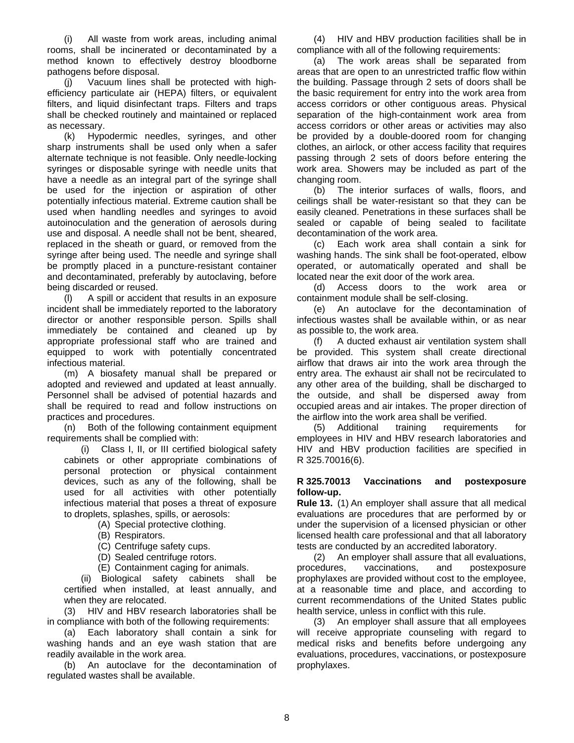(i) All waste from work areas, including animal rooms, shall be incinerated or decontaminated by a method known to effectively destroy bloodborne pathogens before disposal.

(j) Vacuum lines shall be protected with highefficiency particulate air (HEPA) filters, or equivalent filters, and liquid disinfectant traps. Filters and traps shall be checked routinely and maintained or replaced as necessary.

(k) Hypodermic needles, syringes, and other sharp instruments shall be used only when a safer alternate technique is not feasible. Only needle-locking syringes or disposable syringe with needle units that have a needle as an integral part of the syringe shall be used for the injection or aspiration of other potentially infectious material. Extreme caution shall be used when handling needles and syringes to avoid autoinoculation and the generation of aerosols during use and disposal. A needle shall not be bent, sheared, replaced in the sheath or guard, or removed from the syringe after being used. The needle and syringe shall be promptly placed in a puncture-resistant container and decontaminated, preferably by autoclaving, before being discarded or reused.

(l) A spill or accident that results in an exposure incident shall be immediately reported to the laboratory director or another responsible person. Spills shall immediately be contained and cleaned up by appropriate professional staff who are trained and equipped to work with potentially concentrated infectious material.

(m) A biosafety manual shall be prepared or adopted and reviewed and updated at least annually. Personnel shall be advised of potential hazards and shall be required to read and follow instructions on practices and procedures.

(n) Both of the following containment equipment requirements shall be complied with:

(i) Class I, II, or III certified biological safety cabinets or other appropriate combinations of personal protection or physical containment devices, such as any of the following, shall be used for all activities with other potentially infectious material that poses a threat of exposure to droplets, splashes, spills, or aerosols:

- (A) Special protective clothing.
- (B) Respirators.
- (C) Centrifuge safety cups.
- (D) Sealed centrifuge rotors.
- (E) Containment caging for animals.

(ii) Biological safety cabinets shall be certified when installed, at least annually, and when they are relocated.

(3) HIV and HBV research laboratories shall be in compliance with both of the following requirements:

(a) Each laboratory shall contain a sink for washing hands and an eye wash station that are readily available in the work area.

(b) An autoclave for the decontamination of regulated wastes shall be available.

(4) HIV and HBV production facilities shall be in compliance with all of the following requirements:

(a) The work areas shall be separated from areas that are open to an unrestricted traffic flow within the building. Passage through 2 sets of doors shall be the basic requirement for entry into the work area from access corridors or other contiguous areas. Physical separation of the high-containment work area from access corridors or other areas or activities may also be provided by a double-doored room for changing clothes, an airlock, or other access facility that requires passing through 2 sets of doors before entering the work area. Showers may be included as part of the changing room.

(b) The interior surfaces of walls, floors, and ceilings shall be water-resistant so that they can be easily cleaned. Penetrations in these surfaces shall be sealed or capable of being sealed to facilitate decontamination of the work area.

(c) Each work area shall contain a sink for washing hands. The sink shall be foot-operated, elbow operated, or automatically operated and shall be located near the exit door of the work area.

(d) Access doors to the work area or containment module shall be self-closing.

(e) An autoclave for the decontamination of infectious wastes shall be available within, or as near as possible to, the work area.

(f) A ducted exhaust air ventilation system shall be provided. This system shall create directional airflow that draws air into the work area through the entry area. The exhaust air shall not be recirculated to any other area of the building, shall be discharged to the outside, and shall be dispersed away from occupied areas and air intakes. The proper direction of the airflow into the work area shall be verified.

(5) Additional training requirements for employees in HIV and HBV research laboratories and HIV and HBV production facilities are specified in R 325.70016(6).

#### <span id="page-7-0"></span>**R 325.70013 Vaccinations and postexposure follow-up.**

**Rule 13.** (1) An employer shall assure that all medical evaluations are procedures that are performed by or under the supervision of a licensed physician or other licensed health care professional and that all laboratory tests are conducted by an accredited laboratory.

(2) An employer shall assure that all evaluations, procedures, vaccinations, and postexposure prophylaxes are provided without cost to the employee, at a reasonable time and place, and according to current recommendations of the United States public health service, unless in conflict with this rule.

(3) An employer shall assure that all employees will receive appropriate counseling with regard to medical risks and benefits before undergoing any evaluations, procedures, vaccinations, or postexposure prophylaxes.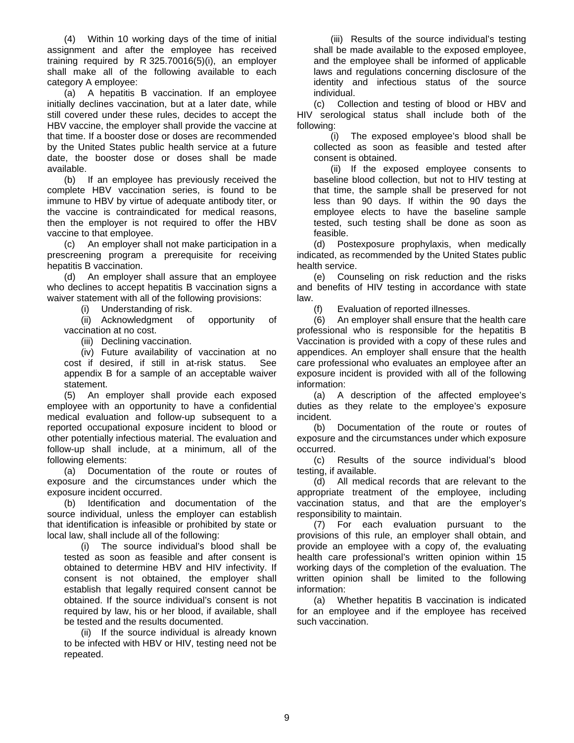(4) Within 10 working days of the time of initial assignment and after the employee has received training required by R 325.70016(5)(i), an employer shall make all of the following available to each category A employee:

(a) A hepatitis B vaccination. If an employee initially declines vaccination, but at a later date, while still covered under these rules, decides to accept the HBV vaccine, the employer shall provide the vaccine at that time. If a booster dose or doses are recommended by the United States public health service at a future date, the booster dose or doses shall be made available.

(b) If an employee has previously received the complete HBV vaccination series, is found to be immune to HBV by virtue of adequate antibody titer, or the vaccine is contraindicated for medical reasons, then the employer is not required to offer the HBV vaccine to that employee.

(c) An employer shall not make participation in a prescreening program a prerequisite for receiving hepatitis B vaccination.

(d) An employer shall assure that an employee who declines to accept hepatitis B vaccination signs a waiver statement with all of the following provisions:

(i) Understanding of risk.

(ii) Acknowledgment of opportunity of vaccination at no cost.

(iii) Declining vaccination.

(iv) Future availability of vaccination at no cost if desired, if still in at-risk status. See appendix B for a sample of an acceptable waiver statement.

(5) An employer shall provide each exposed employee with an opportunity to have a confidential medical evaluation and follow-up subsequent to a reported occupational exposure incident to blood or other potentially infectious material. The evaluation and follow-up shall include, at a minimum, all of the following elements:

(a) Documentation of the route or routes of exposure and the circumstances under which the exposure incident occurred.

(b) Identification and documentation of the source individual, unless the employer can establish that identification is infeasible or prohibited by state or local law, shall include all of the following:

(i) The source individual's blood shall be tested as soon as feasible and after consent is obtained to determine HBV and HIV infectivity. If consent is not obtained, the employer shall establish that legally required consent cannot be obtained. If the source individual's consent is not required by law, his or her blood, if available, shall be tested and the results documented.

(ii) If the source individual is already known to be infected with HBV or HIV, testing need not be repeated.

(iii) Results of the source individual's testing shall be made available to the exposed employee, and the employee shall be informed of applicable laws and regulations concerning disclosure of the identity and infectious status of the source individual.

(c) Collection and testing of blood or HBV and HIV serological status shall include both of the following:

(i) The exposed employee's blood shall be collected as soon as feasible and tested after consent is obtained.

(ii) If the exposed employee consents to baseline blood collection, but not to HIV testing at that time, the sample shall be preserved for not less than 90 days. If within the 90 days the employee elects to have the baseline sample tested, such testing shall be done as soon as feasible.

(d) Postexposure prophylaxis, when medically indicated, as recommended by the United States public health service.

(e) Counseling on risk reduction and the risks and benefits of HIV testing in accordance with state law.

(f) Evaluation of reported illnesses.

(6) An employer shall ensure that the health care professional who is responsible for the hepatitis B Vaccination is provided with a copy of these rules and appendices. An employer shall ensure that the health care professional who evaluates an employee after an exposure incident is provided with all of the following information:

(a) A description of the affected employee's duties as they relate to the employee's exposure incident.

(b) Documentation of the route or routes of exposure and the circumstances under which exposure occurred.

(c) Results of the source individual's blood testing, if available.

(d) All medical records that are relevant to the appropriate treatment of the employee, including vaccination status, and that are the employer's responsibility to maintain.

(7) For each evaluation pursuant to the provisions of this rule, an employer shall obtain, and provide an employee with a copy of, the evaluating health care professional's written opinion within 15 working days of the completion of the evaluation. The written opinion shall be limited to the following information:

(a) Whether hepatitis B vaccination is indicated for an employee and if the employee has received such vaccination.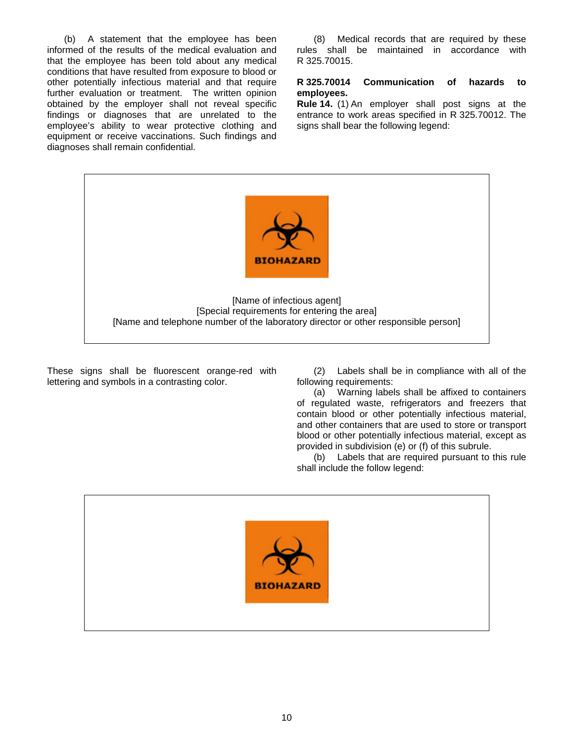(b) A statement that the employee has been informed of the results of the medical evaluation and that the employee has been told about any medical conditions that have resulted from exposure to blood or other potentially infectious material and that require further evaluation or treatment. The written opinion obtained by the employer shall not reveal specific findings or diagnoses that are unrelated to the employee's ability to wear protective clothing and equipment or receive vaccinations. Such findings and diagnoses shall remain confidential.

(8) Medical records that are required by these rules shall be maintained in accordance with R 325.70015.

#### <span id="page-9-0"></span>**R 325.70014 Communication of hazards to employees.**

**Rule 14.** (1) An employer shall post signs at the entrance to work areas specified in R 325.70012. The signs shall bear the following legend:



These signs shall be fluorescent orange-red with lettering and symbols in a contrasting color.

(2) Labels shall be in compliance with all of the following requirements:

(a) Warning labels shall be affixed to containers of regulated waste, refrigerators and freezers that contain blood or other potentially infectious material, and other containers that are used to store or transport blood or other potentially infectious material, except as provided in subdivision (e) or (f) of this subrule.

(b) Labels that are required pursuant to this rule shall include the follow legend:

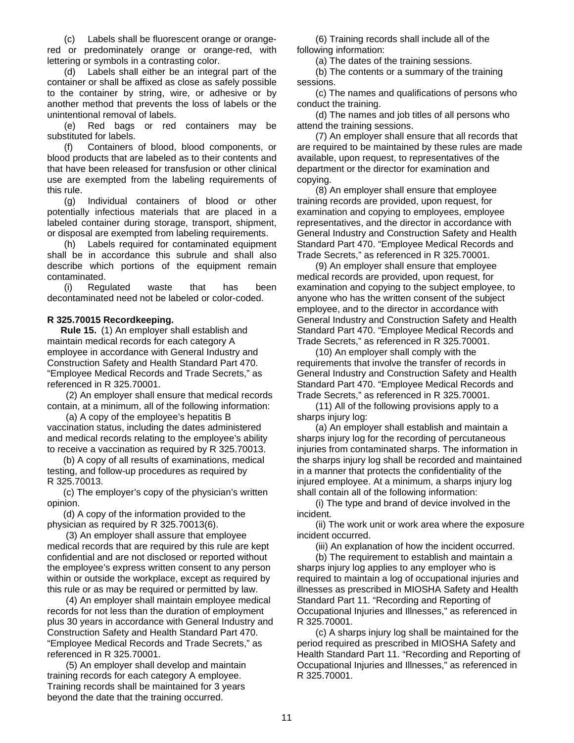(c) Labels shall be fluorescent orange or orangered or predominately orange or orange-red, with lettering or symbols in a contrasting color.

(d) Labels shall either be an integral part of the container or shall be affixed as close as safely possible to the container by string, wire, or adhesive or by another method that prevents the loss of labels or the unintentional removal of labels.

(e) Red bags or red containers may be substituted for labels.

(f) Containers of blood, blood components, or blood products that are labeled as to their contents and that have been released for transfusion or other clinical use are exempted from the labeling requirements of this rule.

(g) Individual containers of blood or other potentially infectious materials that are placed in a labeled container during storage, transport, shipment, or disposal are exempted from labeling requirements.

(h) Labels required for contaminated equipment shall be in accordance this subrule and shall also describe which portions of the equipment remain contaminated.

(i) Regulated waste that has been decontaminated need not be labeled or color-coded.

## <span id="page-10-0"></span>**R 325.70015 Recordkeeping.**

**Rule 15.** (1) An employer shall establish and maintain medical records for each category A employee in accordance with General Industry and Construction Safety and Health Standard Part 470. "Employee Medical Records and Trade Secrets," as referenced in R 325.70001.

 (2) An employer shall ensure that medical records contain, at a minimum, all of the following information:

 (a) A copy of the employee's hepatitis B vaccination status, including the dates administered and medical records relating to the employee's ability to receive a vaccination as required by R 325.70013.

 (b) A copy of all results of examinations, medical testing, and follow-up procedures as required by R 325.70013.

 (c) The employer's copy of the physician's written opinion.

 (d) A copy of the information provided to the physician as required by R 325.70013(6).

 (3) An employer shall assure that employee medical records that are required by this rule are kept confidential and are not disclosed or reported without the employee's express written consent to any person within or outside the workplace, except as required by this rule or as may be required or permitted by law.

 (4) An employer shall maintain employee medical records for not less than the duration of employment plus 30 years in accordance with General Industry and Construction Safety and Health Standard Part 470. "Employee Medical Records and Trade Secrets," as referenced in R 325.70001.

 (5) An employer shall develop and maintain training records for each category A employee. Training records shall be maintained for 3 years beyond the date that the training occurred.

 (6) Training records shall include all of the following information:

(a) The dates of the training sessions.

 (b) The contents or a summary of the training sessions.

 (c) The names and qualifications of persons who conduct the training.

 (d) The names and job titles of all persons who attend the training sessions.

 (7) An employer shall ensure that all records that are required to be maintained by these rules are made available, upon request, to representatives of the department or the director for examination and copying.

 (8) An employer shall ensure that employee training records are provided, upon request, for examination and copying to employees, employee representatives, and the director in accordance with General Industry and Construction Safety and Health Standard Part 470. "Employee Medical Records and Trade Secrets," as referenced in R 325.70001.

 (9) An employer shall ensure that employee medical records are provided, upon request, for examination and copying to the subject employee, to anyone who has the written consent of the subject employee, and to the director in accordance with General Industry and Construction Safety and Health Standard Part 470. "Employee Medical Records and Trade Secrets," as referenced in R 325.70001.

 (10) An employer shall comply with the requirements that involve the transfer of records in General Industry and Construction Safety and Health Standard Part 470. "Employee Medical Records and Trade Secrets," as referenced in R 325.70001.

 (11) All of the following provisions apply to a sharps injury log:

 (a) An employer shall establish and maintain a sharps injury log for the recording of percutaneous injuries from contaminated sharps. The information in the sharps injury log shall be recorded and maintained in a manner that protects the confidentiality of the injured employee. At a minimum, a sharps injury log shall contain all of the following information:

 (i) The type and brand of device involved in the incident.

 (ii) The work unit or work area where the exposure incident occurred.

(iii) An explanation of how the incident occurred.

 (b) The requirement to establish and maintain a sharps injury log applies to any employer who is required to maintain a log of occupational injuries and illnesses as prescribed in MIOSHA Safety and Health Standard Part 11. "Recording and Reporting of Occupational Injuries and Illnesses," as referenced in R 325.70001.

<span id="page-10-1"></span> (c) A sharps injury log shall be maintained for the period required as prescribed in MIOSHA Safety and Health Standard Part 11. "Recording and Reporting of Occupational Injuries and Illnesses," as referenced in R 325.70001.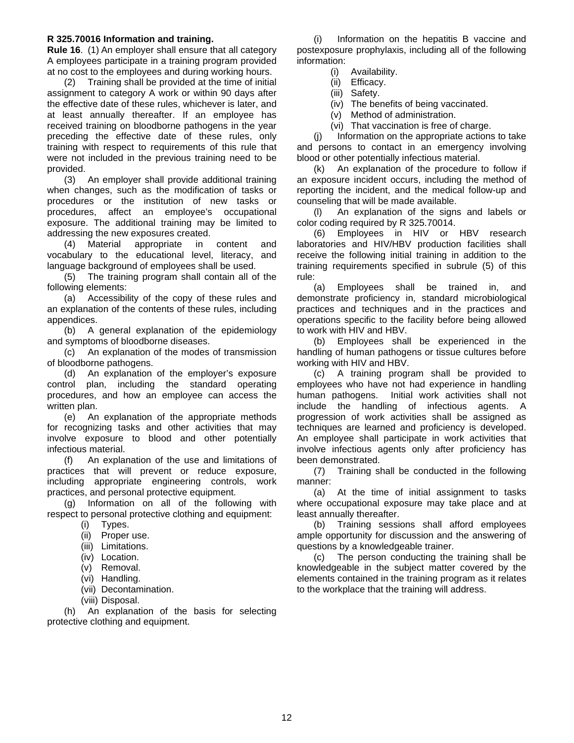#### **R 325.70016 Information and training.**

**Rule 16**. (1) An employer shall ensure that all category A employees participate in a training program provided at no cost to the employees and during working hours.

(2) Training shall be provided at the time of initial assignment to category A work or within 90 days after the effective date of these rules, whichever is later, and at least annually thereafter. If an employee has received training on bloodborne pathogens in the year preceding the effective date of these rules, only training with respect to requirements of this rule that were not included in the previous training need to be provided.

(3) An employer shall provide additional training when changes, such as the modification of tasks or procedures or the institution of new tasks or procedures, affect an employee's occupational exposure. The additional training may be limited to addressing the new exposures created.

(4) Material appropriate in content and vocabulary to the educational level, literacy, and language background of employees shall be used.

(5) The training program shall contain all of the following elements:

(a) Accessibility of the copy of these rules and an explanation of the contents of these rules, including appendices.

(b) A general explanation of the epidemiology and symptoms of bloodborne diseases.

(c) An explanation of the modes of transmission of bloodborne pathogens.

(d) An explanation of the employer's exposure control plan, including the standard operating procedures, and how an employee can access the written plan.

(e) An explanation of the appropriate methods for recognizing tasks and other activities that may involve exposure to blood and other potentially infectious material.

(f) An explanation of the use and limitations of practices that will prevent or reduce exposure, including appropriate engineering controls, work practices, and personal protective equipment.

(g) Information on all of the following with respect to personal protective clothing and equipment:

- (i) Types.
- (ii) Proper use.
- (iii) Limitations.
- (iv) Location.
- (v) Removal.
- (vi) Handling.
- (vii) Decontamination.
- (viii) Disposal.

<span id="page-11-0"></span>(h) An explanation of the basis for selecting protective clothing and equipment.

(i) Information on the hepatitis B vaccine and postexposure prophylaxis, including all of the following information:

(i) Availability.

- (ii) Efficacy.
- (iii) Safety.
- (iv) The benefits of being vaccinated.
- (v) Method of administration.
- (vi) That vaccination is free of charge.

(j) Information on the appropriate actions to take and persons to contact in an emergency involving blood or other potentially infectious material.

(k) An explanation of the procedure to follow if an exposure incident occurs, including the method of reporting the incident, and the medical follow-up and counseling that will be made available.

(l) An explanation of the signs and labels or color coding required by R 325.70014.

(6) Employees in HIV or HBV research laboratories and HIV/HBV production facilities shall receive the following initial training in addition to the training requirements specified in subrule (5) of this rule:

(a) Employees shall be trained in, and demonstrate proficiency in, standard microbiological practices and techniques and in the practices and operations specific to the facility before being allowed to work with HIV and HBV.

(b) Employees shall be experienced in the handling of human pathogens or tissue cultures before working with HIV and HBV.

(c) A training program shall be provided to employees who have not had experience in handling human pathogens. Initial work activities shall not include the handling of infectious agents. A progression of work activities shall be assigned as techniques are learned and proficiency is developed. An employee shall participate in work activities that involve infectious agents only after proficiency has been demonstrated.

(7) Training shall be conducted in the following manner:

(a) At the time of initial assignment to tasks where occupational exposure may take place and at least annually thereafter.

(b) Training sessions shall afford employees ample opportunity for discussion and the answering of questions by a knowledgeable trainer.

(c) The person conducting the training shall be knowledgeable in the subject matter covered by the elements contained in the training program as it relates to the workplace that the training will address.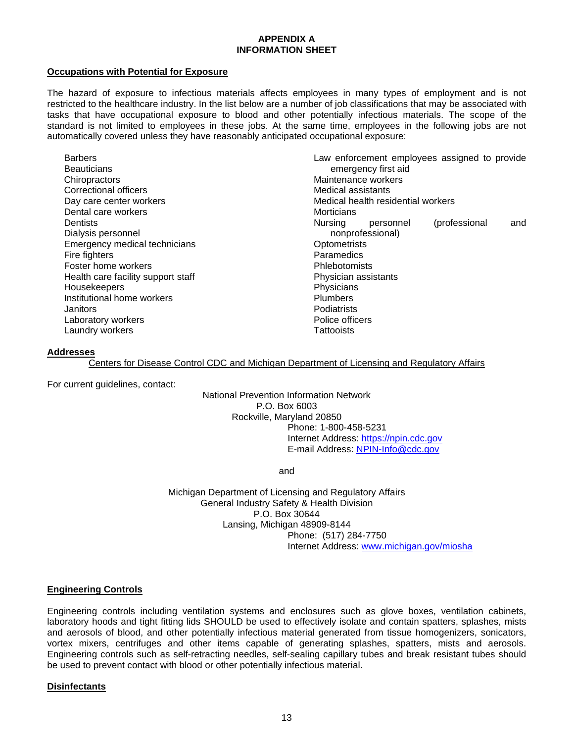## **APPENDIX A INFORMATION SHEET**

#### <span id="page-12-0"></span>**Occupations with Potential for Exposure**

The hazard of exposure to infectious materials affects employees in many types of employment and is not restricted to the healthcare industry. In the list below are a number of job classifications that may be associated with tasks that have occupational exposure to blood and other potentially infectious materials. The scope of the standard is not limited to employees in these jobs. At the same time, employees in the following jobs are not automatically covered unless they have reasonably anticipated occupational exposure:

| <b>Barbers</b><br><b>Beauticians</b> | Law enforcement employees assigned to provide<br>emergency first aid |
|--------------------------------------|----------------------------------------------------------------------|
| Chiropractors                        | Maintenance workers                                                  |
| Correctional officers                | Medical assistants                                                   |
| Day care center workers              | Medical health residential workers                                   |
| Dental care workers                  | Morticians                                                           |
| Dentists                             | (professional<br><b>Nursing</b><br>personnel<br>and                  |
| Dialysis personnel                   | nonprofessional)                                                     |
| Emergency medical technicians        | Optometrists                                                         |
| Fire fighters                        | Paramedics                                                           |
| Foster home workers                  | Phlebotomists                                                        |
| Health care facility support staff   | Physician assistants                                                 |
| Housekeepers                         | Physicians                                                           |
| Institutional home workers           | <b>Plumbers</b>                                                      |
| Janitors                             | Podiatrists                                                          |
| Laboratory workers                   | Police officers                                                      |
| Laundry workers                      | Tattooists                                                           |

#### **Addresses**

Centers for Disease Control CDC and Michigan Department of Licensing and Regulatory Affairs

For current guidelines, contact:

National Prevention Information Network P.O. Box 6003 Rockville, Maryland 20850 Phone: 1-800-458-5231 Internet Address: [https://npin.cdc.gov](https://npin.cdc.gov/) E-mail Address: NPIN-Info@cdc.gov

and

Michigan Department of Licensing and Regulatory Affairs General Industry Safety & Health Division P.O. Box 30644 Lansing, Michigan 48909-8144 Phone: (517) 284-7750 Internet Address: [www.michigan.gov/miosha](http://www.michigan.gov/miosha)

#### **Engineering Controls**

Engineering controls including ventilation systems and enclosures such as glove boxes, ventilation cabinets, laboratory hoods and tight fitting lids SHOULD be used to effectively isolate and contain spatters, splashes, mists and aerosols of blood, and other potentially infectious material generated from tissue homogenizers, sonicators, vortex mixers, centrifuges and other items capable of generating splashes, spatters, mists and aerosols. Engineering controls such as self-retracting needles, self-sealing capillary tubes and break resistant tubes should be used to prevent contact with blood or other potentially infectious material.

#### **Disinfectants**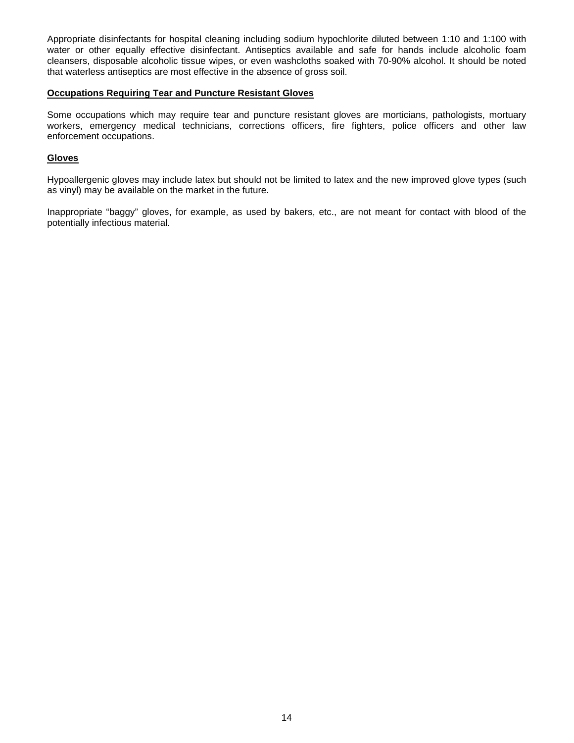Appropriate disinfectants for hospital cleaning including sodium hypochlorite diluted between 1:10 and 1:100 with water or other equally effective disinfectant. Antiseptics available and safe for hands include alcoholic foam cleansers, disposable alcoholic tissue wipes, or even washcloths soaked with 70-90% alcohol. It should be noted that waterless antiseptics are most effective in the absence of gross soil.

#### **Occupations Requiring Tear and Puncture Resistant Gloves**

Some occupations which may require tear and puncture resistant gloves are morticians, pathologists, mortuary workers, emergency medical technicians, corrections officers, fire fighters, police officers and other law enforcement occupations.

#### **Gloves**

Hypoallergenic gloves may include latex but should not be limited to latex and the new improved glove types (such as vinyl) may be available on the market in the future.

Inappropriate "baggy" gloves, for example, as used by bakers, etc., are not meant for contact with blood of the potentially infectious material.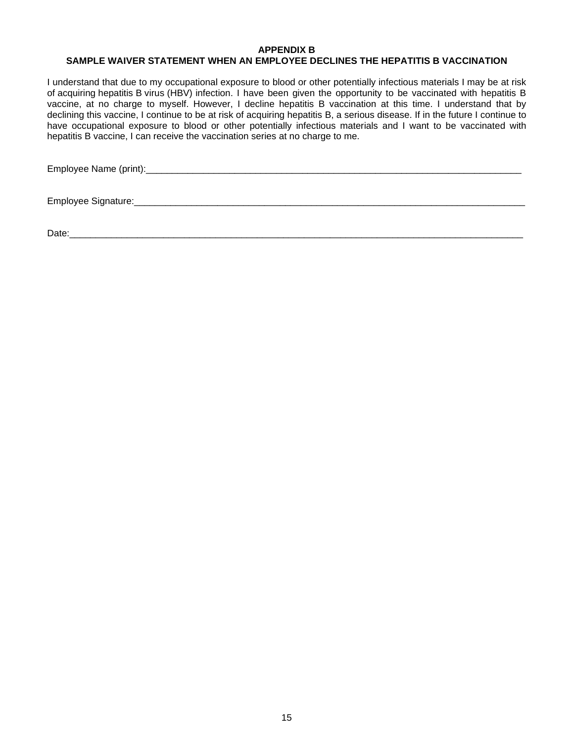#### <span id="page-14-0"></span>**APPENDIX B SAMPLE WAIVER STATEMENT WHEN AN EMPLOYEE DECLINES THE HEPATITIS B VACCINATION**

<span id="page-14-1"></span>I understand that due to my occupational exposure to blood or other potentially infectious materials I may be at risk of acquiring hepatitis B virus (HBV) infection. I have been given the opportunity to be vaccinated with hepatitis B vaccine, at no charge to myself. However, I decline hepatitis B vaccination at this time. I understand that by declining this vaccine, I continue to be at risk of acquiring hepatitis B, a serious disease. If in the future I continue to have occupational exposure to blood or other potentially infectious materials and I want to be vaccinated with hepatitis B vaccine, I can receive the vaccination series at no charge to me.

Employee Name (print):\_\_\_\_\_\_\_\_\_\_\_\_\_\_\_\_\_\_\_\_\_\_\_\_\_\_\_\_\_\_\_\_\_\_\_\_\_\_\_\_\_\_\_\_\_\_\_\_\_\_\_\_\_\_\_\_\_\_\_\_\_\_\_\_\_\_\_\_\_\_\_\_

Employee Signature:\_\_\_\_\_\_\_\_\_\_\_\_\_\_\_\_\_\_\_\_\_\_\_\_\_\_\_\_\_\_\_\_\_\_\_\_\_\_\_\_\_\_\_\_\_\_\_\_\_\_\_\_\_\_\_\_\_\_\_\_\_\_\_\_\_\_\_\_\_\_\_\_\_\_\_

Date: